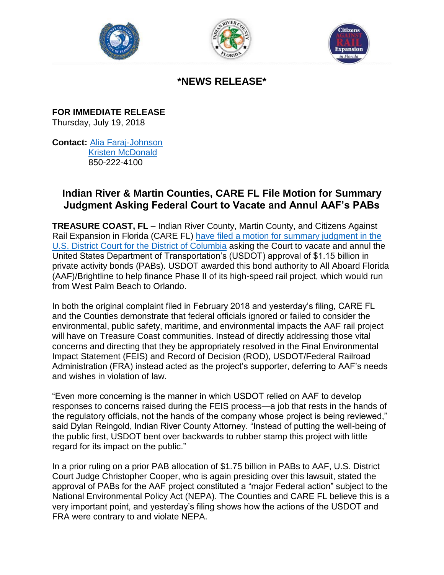





## **\*NEWS RELEASE\***

**FOR IMMEDIATE RELEASE**  Thursday, July 19, 2018

**Contact:** [Alia Faraj-Johnson](mailto:alia.faraj@hkstrategies.com) [Kristen McDonald](mailto:kristen.mcdonald@hkstrategies.com) 850-222-4100

## **Indian River & Martin Counties, CARE FL File Motion for Summary Judgment Asking Federal Court to Vacate and Annul AAF's PABs**

**TREASURE COAST, FL** – Indian River County, Martin County, and Citizens Against Rail Expansion in Florida (CARE FL) [have filed a motion for summary judgment in the](http://saveourfl.com/images/uploads/pages/20180718---plaintiffs-motion-for-summary-judgment-brief---29-main1.pdf)  [U.S. District Court for the District of Columbia](http://saveourfl.com/images/uploads/pages/20180718---plaintiffs-motion-for-summary-judgment-brief---29-main1.pdf) asking the Court to vacate and annul the United States Department of Transportation's (USDOT) approval of \$1.15 billion in private activity bonds (PABs). USDOT awarded this bond authority to All Aboard Florida (AAF)/Brightline to help finance Phase II of its high-speed rail project, which would run from West Palm Beach to Orlando.

In both the original complaint filed in February 2018 and yesterday's filing, CARE FL and the Counties demonstrate that federal officials ignored or failed to consider the environmental, public safety, maritime, and environmental impacts the AAF rail project will have on Treasure Coast communities. Instead of directly addressing those vital concerns and directing that they be appropriately resolved in the Final Environmental Impact Statement (FEIS) and Record of Decision (ROD), USDOT/Federal Railroad Administration (FRA) instead acted as the project's supporter, deferring to AAF's needs and wishes in violation of law.

"Even more concerning is the manner in which USDOT relied on AAF to develop responses to concerns raised during the FEIS process—a job that rests in the hands of the regulatory officials, not the hands of the company whose project is being reviewed," said Dylan Reingold, Indian River County Attorney. "Instead of putting the well-being of the public first, USDOT bent over backwards to rubber stamp this project with little regard for its impact on the public."

In a prior ruling on a prior PAB allocation of \$1.75 billion in PABs to AAF, U.S. District Court Judge Christopher Cooper, who is again presiding over this lawsuit, stated the approval of PABs for the AAF project constituted a "major Federal action" subject to the National Environmental Policy Act (NEPA). The Counties and CARE FL believe this is a very important point, and yesterday's filing shows how the actions of the USDOT and FRA were contrary to and violate NEPA.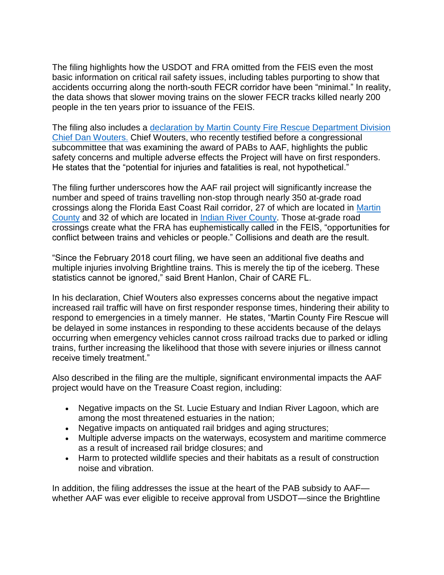The filing highlights how the USDOT and FRA omitted from the FEIS even the most basic information on critical rail safety issues, including tables purporting to show that accidents occurring along the north-south FECR corridor have been "minimal." In reality, the data shows that slower moving trains on the slower FECR tracks killed nearly 200 people in the ten years prior to issuance of the FEIS.

The filing also includes a [declaration by Martin County Fire Rescue Department Division](http://saveourfl.com/images/uploads/pages/20180718---sj-chief-wouters-decl---29-11.pdf)  [Chief Dan Wouters.](http://saveourfl.com/images/uploads/pages/20180718---sj-chief-wouters-decl---29-11.pdf) Chief Wouters, who recently testified before a congressional subcommittee that was examining the award of PABs to AAF, highlights the public safety concerns and multiple adverse effects the Project will have on first responders. He states that the "potential for injuries and fatalities is real, not hypothetical."

The filing further underscores how the AAF rail project will significantly increase the number and speed of trains travelling non-stop through nearly 350 at-grade road crossings along the Florida East Coast Rail corridor, 27 of which are located in [Martin](https://www.martin.fl.us/)  [County](https://www.martin.fl.us/) and 32 of which are located in [Indian River County.](http://www.ircgov.com/) Those at-grade road crossings create what the FRA has euphemistically called in the FEIS, "opportunities for conflict between trains and vehicles or people." Collisions and death are the result.

"Since the February 2018 court filing, we have seen an additional five deaths and multiple injuries involving Brightline trains. This is merely the tip of the iceberg. These statistics cannot be ignored," said Brent Hanlon, Chair of CARE FL.

In his declaration, Chief Wouters also expresses concerns about the negative impact increased rail traffic will have on first responder response times, hindering their ability to respond to emergencies in a timely manner. He states, "Martin County Fire Rescue will be delayed in some instances in responding to these accidents because of the delays occurring when emergency vehicles cannot cross railroad tracks due to parked or idling trains, further increasing the likelihood that those with severe injuries or illness cannot receive timely treatment."

Also described in the filing are the multiple, significant environmental impacts the AAF project would have on the Treasure Coast region, including:

- Negative impacts on the St. Lucie Estuary and Indian River Lagoon, which are among the most threatened estuaries in the nation;
- Negative impacts on antiquated rail bridges and aging structures;
- Multiple adverse impacts on the waterways, ecosystem and maritime commerce as a result of increased rail bridge closures; and
- Harm to protected wildlife species and their habitats as a result of construction noise and vibration.

In addition, the filing addresses the issue at the heart of the PAB subsidy to AAF whether AAF was ever eligible to receive approval from USDOT—since the Brightline